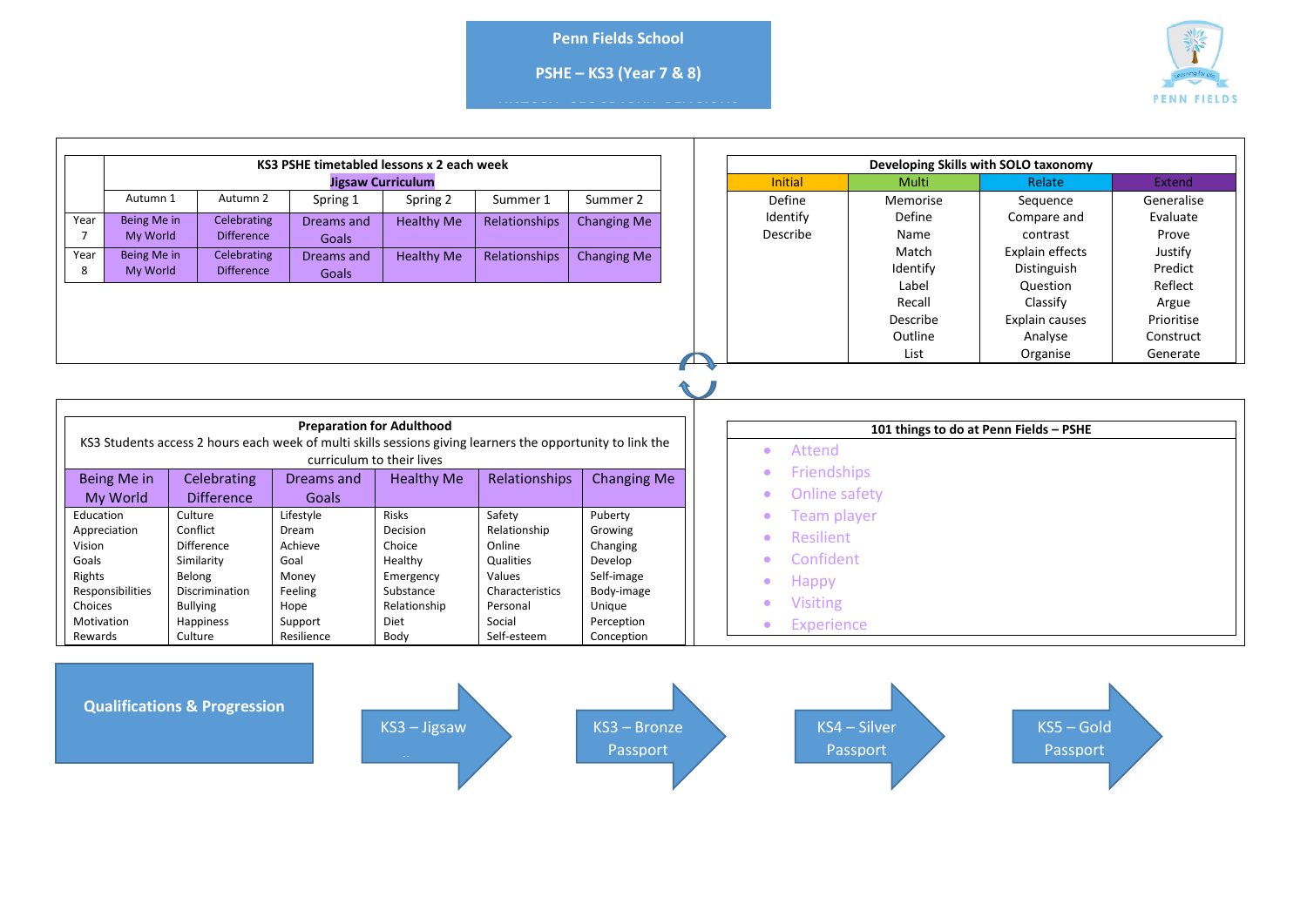**Penn Fields School**

**PSHE – KS3 (Year 7 & 8)**

HISTORY- GEOGRAPHY- RELIGIOUS<br>education in the control of the control of the control of the control of the control of the control of the con



| KS3 PSHE timetabled lessons x 2 each week                                                                                                      |                         |                                                                                                                                                           |                                                                                                   |                                   |                         |                               |  | Developing Skills with SOLO taxonomy                                                             |          |                                        |            |
|------------------------------------------------------------------------------------------------------------------------------------------------|-------------------------|-----------------------------------------------------------------------------------------------------------------------------------------------------------|---------------------------------------------------------------------------------------------------|-----------------------------------|-------------------------|-------------------------------|--|--------------------------------------------------------------------------------------------------|----------|----------------------------------------|------------|
| <b>Jigsaw Curriculum</b>                                                                                                                       |                         |                                                                                                                                                           |                                                                                                   |                                   |                         |                               |  | <b>Initial</b><br><b>Multi</b><br>Relate                                                         |          |                                        | Extend     |
|                                                                                                                                                | Autumn 1                | Autumn 2                                                                                                                                                  | Spring 1                                                                                          | Spring 2                          | Summer 1                | Summer 2                      |  | Define                                                                                           | Memorise | Sequence                               | Generalise |
| Year                                                                                                                                           | Being Me in             | Celebrating                                                                                                                                               | Dreams and                                                                                        | <b>Healthy Me</b>                 | Relationships           | <b>Changing Me</b>            |  | Identify                                                                                         | Define   | Compare and                            | Evaluate   |
| $\overline{7}$                                                                                                                                 | My World                | <b>Difference</b>                                                                                                                                         | Goals                                                                                             |                                   |                         |                               |  | Describe                                                                                         | Name     | contrast                               | Prove      |
| Year                                                                                                                                           | Being Me in             | Celebrating                                                                                                                                               | Dreams and                                                                                        | <b>Healthy Me</b>                 | Relationships           | <b>Changing Me</b>            |  |                                                                                                  | Match    | Explain effects                        | Justify    |
| 8                                                                                                                                              | My World                | <b>Difference</b>                                                                                                                                         | Goals                                                                                             |                                   |                         |                               |  |                                                                                                  | Identify | Distinguish                            | Predict    |
|                                                                                                                                                |                         |                                                                                                                                                           |                                                                                                   |                                   |                         |                               |  |                                                                                                  | Label    | Question                               | Reflect    |
|                                                                                                                                                |                         |                                                                                                                                                           |                                                                                                   |                                   |                         |                               |  |                                                                                                  | Recall   | Classify                               | Argue      |
|                                                                                                                                                |                         |                                                                                                                                                           |                                                                                                   |                                   |                         |                               |  |                                                                                                  | Describe | Explain causes                         | Prioritise |
|                                                                                                                                                |                         |                                                                                                                                                           |                                                                                                   |                                   |                         |                               |  |                                                                                                  | Outline  | Analyse                                | Construct  |
|                                                                                                                                                |                         |                                                                                                                                                           |                                                                                                   |                                   |                         |                               |  |                                                                                                  | List     | Organise                               | Generate   |
| Education                                                                                                                                      | Being Me in<br>My World | KS3 Students access 2 hours each week of multi skills sessions giving learners the opportunity to link the<br>Celebrating<br><b>Difference</b><br>Culture | <b>Preparation for Adulthood</b><br>curriculum to their lives<br>Dreams and<br>Goals<br>Lifestyle | <b>Healthy Me</b><br><b>Risks</b> | Relationships<br>Safety | <b>Changing Me</b><br>Puberty |  | Attend<br>$\bullet$<br>Friendships<br>۰<br><b>Online safety</b><br>$\bullet$<br>Team player<br>٠ |          | 101 things to do at Penn Fields - PSHE |            |
| Appreciation                                                                                                                                   |                         | Conflict                                                                                                                                                  | Dream                                                                                             | Decision                          | Relationship            | Growing                       |  | <b>Resilient</b><br>$\bullet$                                                                    |          |                                        |            |
| Vision                                                                                                                                         |                         | Difference                                                                                                                                                | Achieve                                                                                           | Choice                            | Online                  | Changing                      |  |                                                                                                  |          |                                        |            |
| Goals<br>Rights                                                                                                                                |                         | Similarity<br>Belong                                                                                                                                      | Goal<br>Money                                                                                     | Healthy<br>Emergency              | Qualities<br>Values     | Develop<br>Self-image         |  | Confident<br>$\bullet$                                                                           |          |                                        |            |
| Responsibilities                                                                                                                               |                         | <b>Discrimination</b>                                                                                                                                     | Feeling                                                                                           | Substance                         | Characteristics         | Body-image                    |  | Happy<br>$\bullet$                                                                               |          |                                        |            |
| Choices                                                                                                                                        |                         | <b>Bullying</b>                                                                                                                                           | Hope                                                                                              | Relationship                      | Personal                | Unique                        |  | <b>Visiting</b><br>$\bullet$                                                                     |          |                                        |            |
| Motivation                                                                                                                                     |                         | Happiness                                                                                                                                                 | Support                                                                                           | Diet                              | Social                  | Perception                    |  | <b>Experience</b><br>$\bullet$                                                                   |          |                                        |            |
| Rewards                                                                                                                                        |                         | Culture                                                                                                                                                   | Resilience                                                                                        | Body                              | Self-esteem             | Conception                    |  |                                                                                                  |          |                                        |            |
| <b>Qualifications &amp; Progression</b><br>$KS3 - Jiggsaw$<br>KS4 - Silver<br>$KSS - Gold$<br>KS3 - Bronze<br>Passport<br>Passport<br>Passport |                         |                                                                                                                                                           |                                                                                                   |                                   |                         |                               |  |                                                                                                  |          |                                        |            |